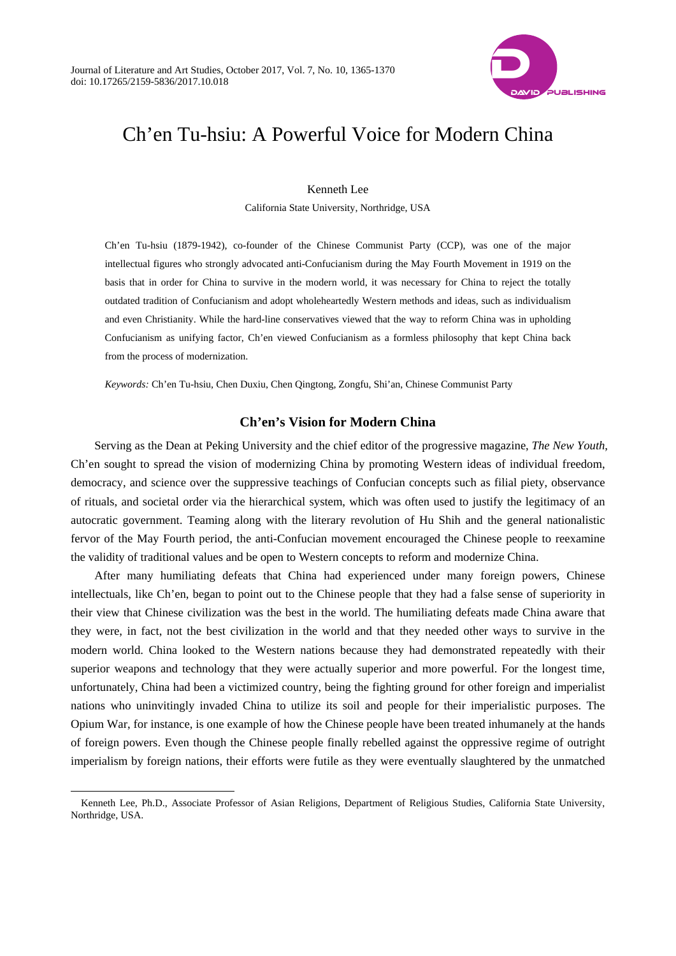

# Ch'en Tu-hsiu: A Powerful Voice for Modern China

Kenneth Lee

California State University, Northridge, USA

Ch'en Tu-hsiu (1879-1942), co-founder of the Chinese Communist Party (CCP), was one of the major intellectual figures who strongly advocated anti-Confucianism during the May Fourth Movement in 1919 on the basis that in order for China to survive in the modern world, it was necessary for China to reject the totally outdated tradition of Confucianism and adopt wholeheartedly Western methods and ideas, such as individualism and even Christianity. While the hard-line conservatives viewed that the way to reform China was in upholding Confucianism as unifying factor, Ch'en viewed Confucianism as a formless philosophy that kept China back from the process of modernization.

*Keywords:* Ch'en Tu-hsiu, Chen Duxiu, Chen Qingtong, Zongfu, Shi'an, Chinese Communist Party

## **Ch'en's Vision for Modern China**

Serving as the Dean at Peking University and the chief editor of the progressive magazine, *The New Youth*, Ch'en sought to spread the vision of modernizing China by promoting Western ideas of individual freedom, democracy, and science over the suppressive teachings of Confucian concepts such as filial piety, observance of rituals, and societal order via the hierarchical system, which was often used to justify the legitimacy of an autocratic government. Teaming along with the literary revolution of Hu Shih and the general nationalistic fervor of the May Fourth period, the anti-Confucian movement encouraged the Chinese people to reexamine the validity of traditional values and be open to Western concepts to reform and modernize China.

After many humiliating defeats that China had experienced under many foreign powers, Chinese intellectuals, like Ch'en, began to point out to the Chinese people that they had a false sense of superiority in their view that Chinese civilization was the best in the world. The humiliating defeats made China aware that they were, in fact, not the best civilization in the world and that they needed other ways to survive in the modern world. China looked to the Western nations because they had demonstrated repeatedly with their superior weapons and technology that they were actually superior and more powerful. For the longest time, unfortunately, China had been a victimized country, being the fighting ground for other foreign and imperialist nations who uninvitingly invaded China to utilize its soil and people for their imperialistic purposes. The Opium War, for instance, is one example of how the Chinese people have been treated inhumanely at the hands of foreign powers. Even though the Chinese people finally rebelled against the oppressive regime of outright imperialism by foreign nations, their efforts were futile as they were eventually slaughtered by the unmatched

 $\overline{a}$ 

Kenneth Lee, Ph.D., Associate Professor of Asian Religions, Department of Religious Studies, California State University, Northridge, USA.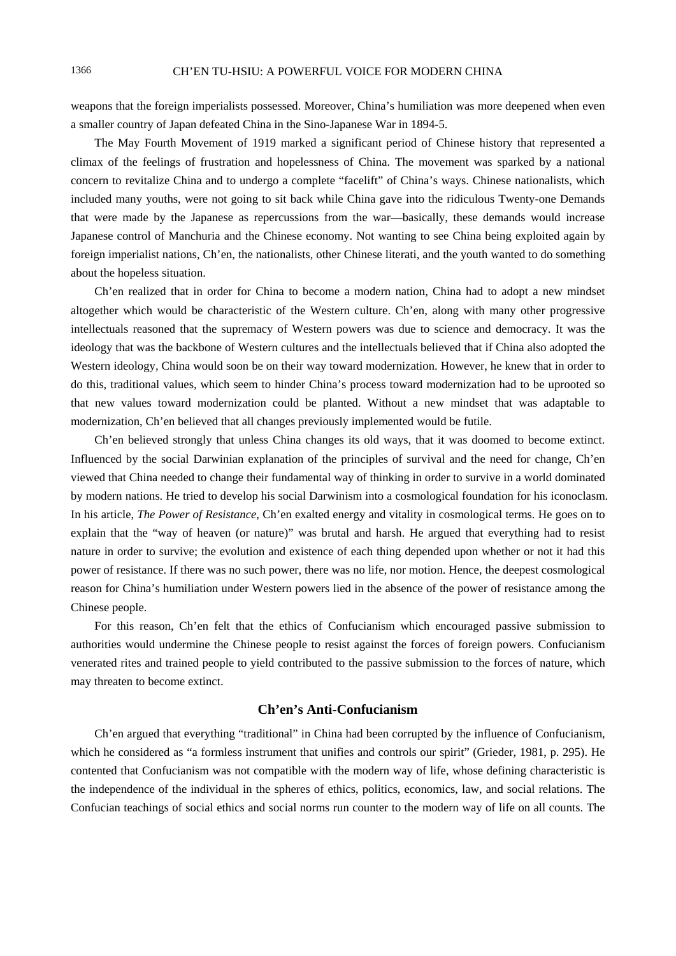weapons that the foreign imperialists possessed. Moreover, China's humiliation was more deepened when even a smaller country of Japan defeated China in the Sino-Japanese War in 1894-5.

The May Fourth Movement of 1919 marked a significant period of Chinese history that represented a climax of the feelings of frustration and hopelessness of China. The movement was sparked by a national concern to revitalize China and to undergo a complete "facelift" of China's ways. Chinese nationalists, which included many youths, were not going to sit back while China gave into the ridiculous Twenty-one Demands that were made by the Japanese as repercussions from the war—basically, these demands would increase Japanese control of Manchuria and the Chinese economy. Not wanting to see China being exploited again by foreign imperialist nations, Ch'en, the nationalists, other Chinese literati, and the youth wanted to do something about the hopeless situation.

Ch'en realized that in order for China to become a modern nation, China had to adopt a new mindset altogether which would be characteristic of the Western culture. Ch'en, along with many other progressive intellectuals reasoned that the supremacy of Western powers was due to science and democracy. It was the ideology that was the backbone of Western cultures and the intellectuals believed that if China also adopted the Western ideology, China would soon be on their way toward modernization. However, he knew that in order to do this, traditional values, which seem to hinder China's process toward modernization had to be uprooted so that new values toward modernization could be planted. Without a new mindset that was adaptable to modernization, Ch'en believed that all changes previously implemented would be futile.

Ch'en believed strongly that unless China changes its old ways, that it was doomed to become extinct. Influenced by the social Darwinian explanation of the principles of survival and the need for change, Ch'en viewed that China needed to change their fundamental way of thinking in order to survive in a world dominated by modern nations. He tried to develop his social Darwinism into a cosmological foundation for his iconoclasm. In his article, *The Power of Resistance*, Ch'en exalted energy and vitality in cosmological terms. He goes on to explain that the "way of heaven (or nature)" was brutal and harsh. He argued that everything had to resist nature in order to survive; the evolution and existence of each thing depended upon whether or not it had this power of resistance. If there was no such power, there was no life, nor motion. Hence, the deepest cosmological reason for China's humiliation under Western powers lied in the absence of the power of resistance among the Chinese people.

For this reason, Ch'en felt that the ethics of Confucianism which encouraged passive submission to authorities would undermine the Chinese people to resist against the forces of foreign powers. Confucianism venerated rites and trained people to yield contributed to the passive submission to the forces of nature, which may threaten to become extinct.

### **Ch'en's Anti-Confucianism**

Ch'en argued that everything "traditional" in China had been corrupted by the influence of Confucianism, which he considered as "a formless instrument that unifies and controls our spirit" (Grieder, 1981, p. 295). He contented that Confucianism was not compatible with the modern way of life, whose defining characteristic is the independence of the individual in the spheres of ethics, politics, economics, law, and social relations. The Confucian teachings of social ethics and social norms run counter to the modern way of life on all counts. The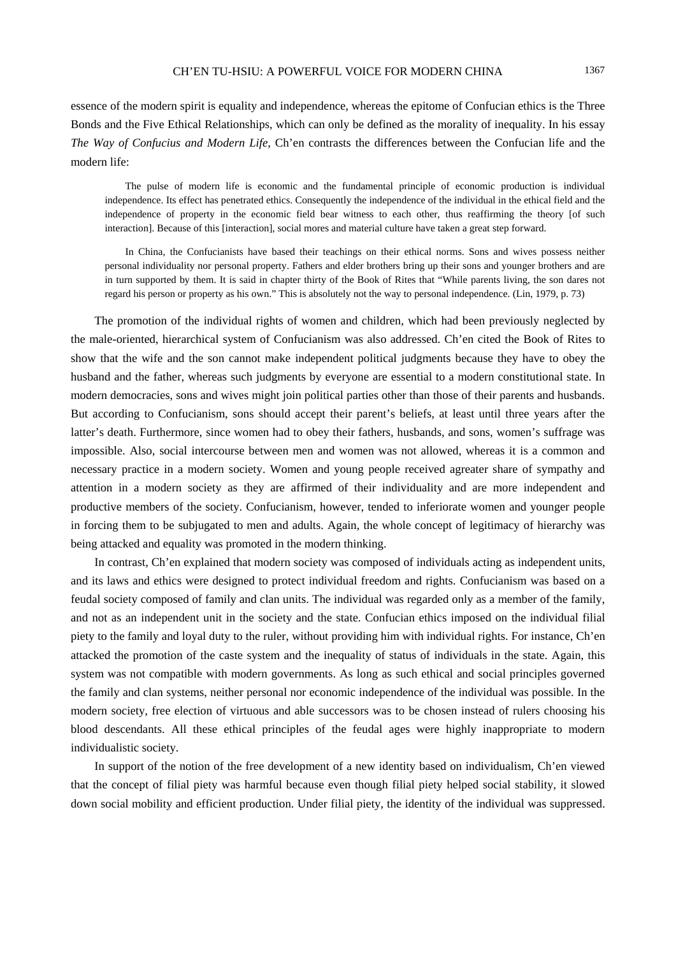essence of the modern spirit is equality and independence, whereas the epitome of Confucian ethics is the Three Bonds and the Five Ethical Relationships, which can only be defined as the morality of inequality. In his essay *The Way of Confucius and Modern Life*, Ch'en contrasts the differences between the Confucian life and the modern life:

The pulse of modern life is economic and the fundamental principle of economic production is individual independence. Its effect has penetrated ethics. Consequently the independence of the individual in the ethical field and the independence of property in the economic field bear witness to each other, thus reaffirming the theory [of such interaction]. Because of this [interaction], social mores and material culture have taken a great step forward.

In China, the Confucianists have based their teachings on their ethical norms. Sons and wives possess neither personal individuality nor personal property. Fathers and elder brothers bring up their sons and younger brothers and are in turn supported by them. It is said in chapter thirty of the Book of Rites that "While parents living, the son dares not regard his person or property as his own." This is absolutely not the way to personal independence. (Lin, 1979, p. 73)

The promotion of the individual rights of women and children, which had been previously neglected by the male-oriented, hierarchical system of Confucianism was also addressed. Ch'en cited the Book of Rites to show that the wife and the son cannot make independent political judgments because they have to obey the husband and the father, whereas such judgments by everyone are essential to a modern constitutional state. In modern democracies, sons and wives might join political parties other than those of their parents and husbands. But according to Confucianism, sons should accept their parent's beliefs, at least until three years after the latter's death. Furthermore, since women had to obey their fathers, husbands, and sons, women's suffrage was impossible. Also, social intercourse between men and women was not allowed, whereas it is a common and necessary practice in a modern society. Women and young people received agreater share of sympathy and attention in a modern society as they are affirmed of their individuality and are more independent and productive members of the society. Confucianism, however, tended to inferiorate women and younger people in forcing them to be subjugated to men and adults. Again, the whole concept of legitimacy of hierarchy was being attacked and equality was promoted in the modern thinking.

In contrast, Ch'en explained that modern society was composed of individuals acting as independent units, and its laws and ethics were designed to protect individual freedom and rights. Confucianism was based on a feudal society composed of family and clan units. The individual was regarded only as a member of the family, and not as an independent unit in the society and the state. Confucian ethics imposed on the individual filial piety to the family and loyal duty to the ruler, without providing him with individual rights. For instance, Ch'en attacked the promotion of the caste system and the inequality of status of individuals in the state. Again, this system was not compatible with modern governments. As long as such ethical and social principles governed the family and clan systems, neither personal nor economic independence of the individual was possible. In the modern society, free election of virtuous and able successors was to be chosen instead of rulers choosing his blood descendants. All these ethical principles of the feudal ages were highly inappropriate to modern individualistic society.

In support of the notion of the free development of a new identity based on individualism, Ch'en viewed that the concept of filial piety was harmful because even though filial piety helped social stability, it slowed down social mobility and efficient production. Under filial piety, the identity of the individual was suppressed.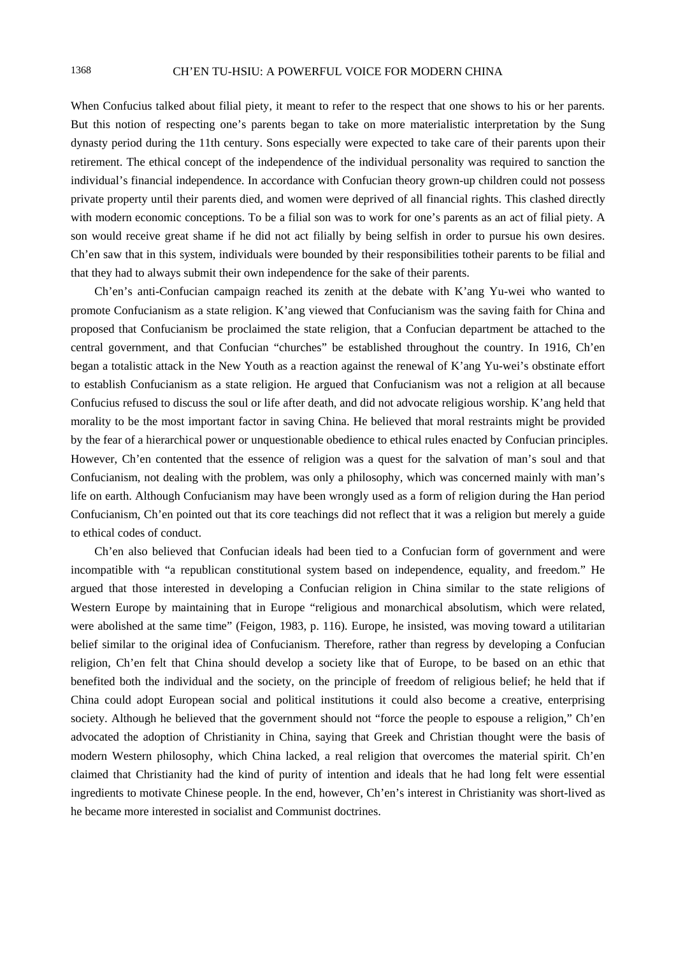When Confucius talked about filial piety, it meant to refer to the respect that one shows to his or her parents. But this notion of respecting one's parents began to take on more materialistic interpretation by the Sung dynasty period during the 11th century. Sons especially were expected to take care of their parents upon their retirement. The ethical concept of the independence of the individual personality was required to sanction the individual's financial independence. In accordance with Confucian theory grown-up children could not possess private property until their parents died, and women were deprived of all financial rights. This clashed directly with modern economic conceptions. To be a filial son was to work for one's parents as an act of filial piety. A son would receive great shame if he did not act filially by being selfish in order to pursue his own desires. Ch'en saw that in this system, individuals were bounded by their responsibilities totheir parents to be filial and that they had to always submit their own independence for the sake of their parents.

Ch'en's anti-Confucian campaign reached its zenith at the debate with K'ang Yu-wei who wanted to promote Confucianism as a state religion. K'ang viewed that Confucianism was the saving faith for China and proposed that Confucianism be proclaimed the state religion, that a Confucian department be attached to the central government, and that Confucian "churches" be established throughout the country. In 1916, Ch'en began a totalistic attack in the New Youth as a reaction against the renewal of K'ang Yu-wei's obstinate effort to establish Confucianism as a state religion. He argued that Confucianism was not a religion at all because Confucius refused to discuss the soul or life after death, and did not advocate religious worship. K'ang held that morality to be the most important factor in saving China. He believed that moral restraints might be provided by the fear of a hierarchical power or unquestionable obedience to ethical rules enacted by Confucian principles. However, Ch'en contented that the essence of religion was a quest for the salvation of man's soul and that Confucianism, not dealing with the problem, was only a philosophy, which was concerned mainly with man's life on earth. Although Confucianism may have been wrongly used as a form of religion during the Han period Confucianism, Ch'en pointed out that its core teachings did not reflect that it was a religion but merely a guide to ethical codes of conduct.

Ch'en also believed that Confucian ideals had been tied to a Confucian form of government and were incompatible with "a republican constitutional system based on independence, equality, and freedom." He argued that those interested in developing a Confucian religion in China similar to the state religions of Western Europe by maintaining that in Europe "religious and monarchical absolutism, which were related, were abolished at the same time" (Feigon, 1983, p. 116). Europe, he insisted, was moving toward a utilitarian belief similar to the original idea of Confucianism. Therefore, rather than regress by developing a Confucian religion, Ch'en felt that China should develop a society like that of Europe, to be based on an ethic that benefited both the individual and the society, on the principle of freedom of religious belief; he held that if China could adopt European social and political institutions it could also become a creative, enterprising society. Although he believed that the government should not "force the people to espouse a religion," Ch'en advocated the adoption of Christianity in China, saying that Greek and Christian thought were the basis of modern Western philosophy, which China lacked, a real religion that overcomes the material spirit. Ch'en claimed that Christianity had the kind of purity of intention and ideals that he had long felt were essential ingredients to motivate Chinese people. In the end, however, Ch'en's interest in Christianity was short-lived as he became more interested in socialist and Communist doctrines.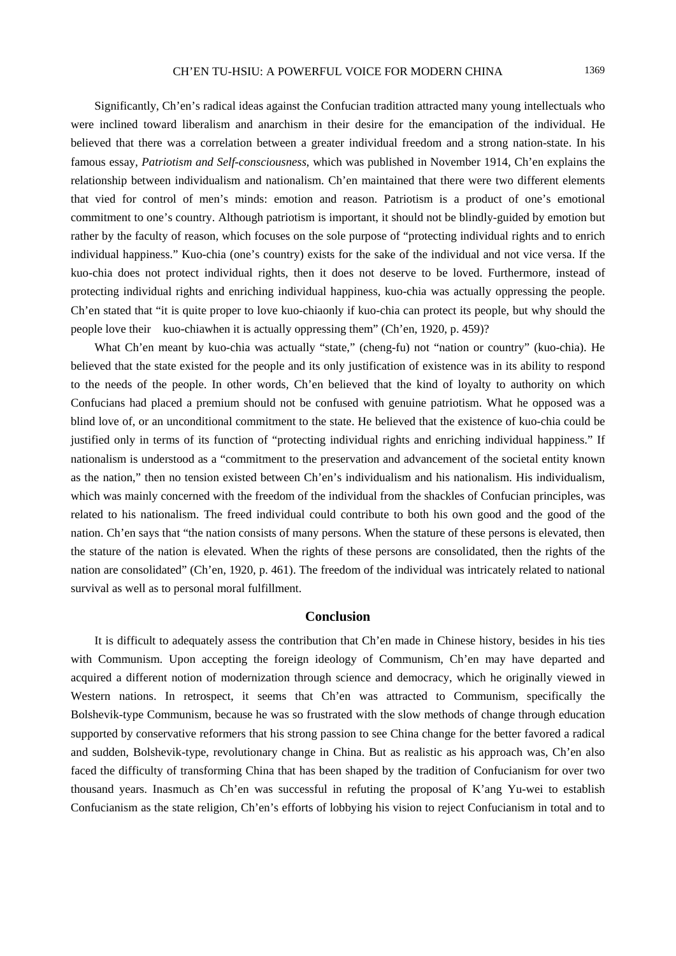Significantly, Ch'en's radical ideas against the Confucian tradition attracted many young intellectuals who were inclined toward liberalism and anarchism in their desire for the emancipation of the individual. He believed that there was a correlation between a greater individual freedom and a strong nation-state. In his famous essay, *Patriotism and Self-consciousness*, which was published in November 1914, Ch'en explains the relationship between individualism and nationalism. Ch'en maintained that there were two different elements that vied for control of men's minds: emotion and reason. Patriotism is a product of one's emotional commitment to one's country. Although patriotism is important, it should not be blindly-guided by emotion but rather by the faculty of reason, which focuses on the sole purpose of "protecting individual rights and to enrich individual happiness." Kuo-chia (one's country) exists for the sake of the individual and not vice versa. If the kuo-chia does not protect individual rights, then it does not deserve to be loved. Furthermore, instead of protecting individual rights and enriching individual happiness, kuo-chia was actually oppressing the people. Ch'en stated that "it is quite proper to love kuo-chiaonly if kuo-chia can protect its people, but why should the people love their kuo-chiawhen it is actually oppressing them" (Ch'en, 1920, p. 459)?

What Ch'en meant by kuo-chia was actually "state," (cheng-fu) not "nation or country" (kuo-chia). He believed that the state existed for the people and its only justification of existence was in its ability to respond to the needs of the people. In other words, Ch'en believed that the kind of loyalty to authority on which Confucians had placed a premium should not be confused with genuine patriotism. What he opposed was a blind love of, or an unconditional commitment to the state. He believed that the existence of kuo-chia could be justified only in terms of its function of "protecting individual rights and enriching individual happiness." If nationalism is understood as a "commitment to the preservation and advancement of the societal entity known as the nation," then no tension existed between Ch'en's individualism and his nationalism. His individualism, which was mainly concerned with the freedom of the individual from the shackles of Confucian principles, was related to his nationalism. The freed individual could contribute to both his own good and the good of the nation. Ch'en says that "the nation consists of many persons. When the stature of these persons is elevated, then the stature of the nation is elevated. When the rights of these persons are consolidated, then the rights of the nation are consolidated" (Ch'en, 1920, p. 461). The freedom of the individual was intricately related to national survival as well as to personal moral fulfillment.

### **Conclusion**

It is difficult to adequately assess the contribution that Ch'en made in Chinese history, besides in his ties with Communism. Upon accepting the foreign ideology of Communism, Ch'en may have departed and acquired a different notion of modernization through science and democracy, which he originally viewed in Western nations. In retrospect, it seems that Ch'en was attracted to Communism, specifically the Bolshevik-type Communism, because he was so frustrated with the slow methods of change through education supported by conservative reformers that his strong passion to see China change for the better favored a radical and sudden, Bolshevik-type, revolutionary change in China. But as realistic as his approach was, Ch'en also faced the difficulty of transforming China that has been shaped by the tradition of Confucianism for over two thousand years. Inasmuch as Ch'en was successful in refuting the proposal of K'ang Yu-wei to establish Confucianism as the state religion, Ch'en's efforts of lobbying his vision to reject Confucianism in total and to